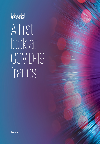

# A first look at COVID-19 frauds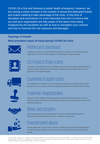COVID-19 is first and foremost a public health emergency. However, we are seeing a sharp increase in the number of actual and attempted frauds and scams seeking to take advantage of the crisis. In this time of disruption and uncertainty it is more important than ever to ensure that you and your organisation are fully aware of the latest tricks being employed by the fraudsters as well as how to strengthen your controls and how to minimize the risk exposure and damages.

#### **Typology of frauds:**

#### **Most prevalent cases of fraud during COVID-19 crisis**



### Phishing and cyberattacks

Clicking on a link in an email that allows fraudster to access your network and that might lead to a massive data leakage or the blockage of your operations.



## CEO Frauds & Charity scams

Fraudsters impersonating senior managements and instructing junior staff members to proceed urgent payments on their behalf or setting up bogus charity calling for the generosity of the general public.



### Counterfeits & supply scams

The sudden rise in demand for face masks gave fraudsters an opportunity to market fake products or to simply advertise sought-after products and vanish with the money.









### Trademark misappropriation

Racing to market highly demanded goods, manufacturers are tempted to use and promote forged certifications and certifications without the consent of the owner of the intellectual property.

### **Bribery and corruption**

Real suppliers asking for extra payment in order to send demanded goods or purchasers offering incentives to secure a delivery is on the rise.

## Financial market abuses

Taking opportunity of the current mayhem, investors may be lured into manipulating the price of lower-volatility securities or using non-public material information when trading.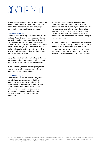## COVID-19 fraud

An effective fraud requires both an opportunity for the fraudster and a control weakness on behalf of the victim. The current global situation is helping to create both of these conditions in abundance.

#### **Opportunities for fraud**

Disruption and uncertainty often create opportunities for fraud. At short notice, businesses and individuals are working under unusual conditions, with unfamiliar counterparties, facing urgent deadlines and with limited ability to forecast what will happen in the near future. For example, many companies have a new and urgent need for protective equipment such as gloves and disinfectant gel – how can they be sure that the vendor is genuine?

Many of the fraudsters taking advantage of the crisis are experienced at doing so, and are simply adapting their existing techniques to fit the current situation.

At the same time, financial distress gives greater incentives for employees, suppliers, customers, agents and others to commit fraud.

#### **Control challenges**

Good controls can prevent fraud but they must be executed consistently by personnel with an appropriate understanding of business risks. Widespread staff absence due to illness or selfisolation means that, in many cases, people are taking on new and unfamiliar responsibilities. Management, meanwhile, are focussed on the immediate needs of keeping the business operational.

Additionally, hastily activated remote working conditions have placed increased strain on the control environments of most organisations which are not always designed to be applied in home office situation. The lack of face-to-face communication means that people rely all the more on electronic communications, and can't so easily ask a colleague for a second opinion.

Together, these factors increase the vulnerability of a business to fraud. One way to counter this threat is to be fully aware of the risks that you face. KPMG routinely monitors active frauds and in this document we summarise the current situation. Moreover, we show various real-life examples of COVID-19 frauds.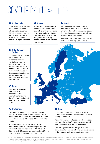## COVID-19 fraud examples

#### **1. Netherlands 1**

Dutch police took 10 fake web shops offline after they offered products such as COVID-19 tracker apps and anti-bacterial credit cards. Some had cloned the identities of legitimate shops.

#### **1. France 2**

French school of engineering's name was used, without their consent, to certify the conformity of masks. After being informed by a Italian pharmacist and an Hungarian company they discover the fraud and enforced legal actions.

#### **1. Sweden 3**

SMS messages were sent to solicit donations on behalf of the Karolinska University Hospital for coronavirus research. Only Bitcoin were accepted making it very difficult to trace the scammer.

Imposters have stolen valuables under the pretence of installing 'Corona filters'.

#### **1. UK / Germany / 4 Turkey**

During the mayhem caused by the pandemic, companies around the world placed orders to acquire masks from all available sources; and it turned out that the supply never existed. Fraudsters disappeared after obtaining a prepayment leaving companies with over EUR 20m in losses.

#### **1. Spain 5**

The Spanish government had to return 9,000 ineffective COVID-19 testing kits after buying them from an unauthorised and unlicensed company in China.

#### **1. Switzerland 6 7**

The Reporting and Analysis Centre for Information Assurance has detected large numbers of phishing and ransomware attempts linked to COVID-19. Some are sent in the name of the Federal Office for Public Health.

In addition, in March 2020 fishing attack was orchestrated against World Health Organization in which the fraudsters impersonated WHO to steal Bitcoin COVID-19 donations originally collected for the WHO's COVID-19 Solidarity Response Fund.

#### **1.** Italy

False declarations have been made to obtain government grants intended to support businesses during the pandemic.

Police have warned that people knocking on doors claiming to be testing for Coronavirus are actually seeking to steal valuables from the elderly.

Criminal organisations are thought to be taking advantage of the crisis to infiltrate vulnerable sectors of the economy such as through buying hotels.

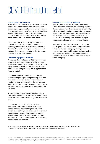## COVID-19 fraud in detail

#### **Phishing and cyber-attacks**

Many scams start out with an email - while some are easy to spot, others can be quite convincing, with correct logos, appropriate language and even coming from a plausible address. We are aware of fraudsters impersonating entities such as airlines offering a refund, national tax authorities offering a tax rebate, and even the Dutch Ministry of Social affairs.

Clicking on a link in the message can download malware to gather corporate information or encourage the recipient to disclose their password. A further threat is the resurgence of 'ransomware'; software that encrypts your data leaving it unusable unless a large payment is made.

#### **CEO fraud & payment diversion**

A variant of the email scam is 'CEO fraud', in which an external party impersonates a senior manager and instructs a member of staff to, for instance, make a payment to the fraudster. The message is often worded to encourage the recipient to bypass normal financial controls.

Another technique is to contact a company, to request an urgent payment or pretending to be from a major supplier and provide new bank account numbers. Stated reasons include the real account '*being frozen by a foreign government*'. The next time a routine payment is made it could go straight to the fraudster.

These approaches are increasingly effective at a time when more and more business is being done by email and while people are under greater-than-usual stress.

Countermeasures include raising employee awareness, configuring email systems to flag external senders and enforcing controls at the system level (so that, for instance, a single individual cannot approve an outgoing payment or change vendor standing data). The Dutch National Cyber Security Centre has produced guidance for securing a home office environment<sup>1</sup>.

#### **Counterfeit or ineffective products**

Supplying personal protective equipment (PPE), disinfectants and medicines is currently big business. However, some fraudsters are seeking to cash-in by selling substandard or fake products. In more normal times, a business might have a lasting relationship with its key suppliers. One characteristic of the COVID-19 crisis, though, is businesses trying to source essential supplies from wherever they can.

Such a hurry cannot excuse the lack of third party due diligences and the very damaging effects such omission may cost a company. During a crisis organisation should double up their vigilance and act with utmost precautions as many fraudsters are attempting to seize the opportunities created by the sense of urgency.

<sup>1.</sup> www.ncsc.nl/documenten/publicaties/2020/april/1/factsheet-uw-thuiswerkfaciliteiten-zijn-nu-onmisbaar and www.ncsc.nl/actueel/nieuws/2020/maart/26/veilig-thuiswerken-door-het-coronavirus

<sup>© 2020</sup> KPMG Advisory N.V., registered with the trade register in the Netherlands under number 33263682, is a member firm of the KPMG network of independent member firms affiliated with KPMG International Cooperative ('KPMG International'), a Swiss entity. All rights reserved. The name KPMG and logo are registered trademarks of KPMG International.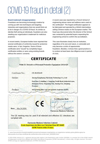## COVID-19 fraud in detail (2)

#### **Brand trademark misappropriation**

Fraudsters are becoming increasingly creative by coming up with new techniques and targeting industries and organizations that one would think not to be in danger of a COVID-19 fraud. As similar as identity theft aiming at individuals, fraudsters are also stealing your organization's trademark for malicious purposes.

In recent weeks, European bodies have reported that several certificates of conformity issued for protective masks were, in fact, forgeries. Some of those certificates were "issued" by completely bogus certification entities or were using existing brands without the owners' consents.

A recent case was reported by a French School of engineering whose name and address were used on the certificates<sup>2</sup>. The forged certification appears to be fabricated and operated by a British intermediary selling Chinese masks on the European market. The fraud was discovered when the director of the School was contacted by potential buyers requesting the engineering school to confirm the accreditation.

This case illustrates clearly how an institution, regardless of its size and nature, is vulnerable and may become a victim of opportunistic fraudsters. Besides, it shows that a good practice is to conduct at least basic due diligence even in period of crisis.



2. www.francetvinfo.fr/sante/maladie/coronavirus/masques-respiratoires-un-organisme-nantais-porte-plainte-apres-ladecouverte-d-un-faux-certificat-de-conformite-emis-a-son-nom\_3932955.html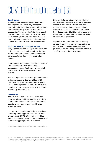## COVID-19 fraud in detail (3)

#### **Supply scams**

We've also seen fake websites that seek to take advantage of these same supply shortages for essential goods. Rather than providing fake products, these websites simply pocket the money before disappearing. The police in the Netherlands recently disabled 10 such online shops, some of which used the names of legitimate retailers. Meanwhile, a UK company lost over £15,000 over a bulk consignment of protective face masks that were never delivered.

#### **Victimized public and non-profit sectors**

Many organisations want to support their community at times such as this through a charitable donation. However, we have seen that fraudsters are taking advantage of this philanthropy by creating fake charities.

In one example, donations were solicited on behalf of a well-known hospital in Sweden to support coronavirus research. Only Bitcoin were accepted, making it very difficult to trace the fraudulent recipient.

Non-profit organizations are also exposed to financial and reputational risks. Example is March 2020 fishing attack in which the fraudsters impersonated World Health Organization to steal Bitcoin COVID-19 donations originally collected for the WHO's COVID-19 Solidarity Response Fund.

#### **Bribery risks**

There is often an increased risk of bribery when people are placed in difficult situations. This is likely to be of most concern for businesses with overseas operations, but domestic issues should not be entirely discounted.

For example, a manufacturing business operating in an industry where supply chains have come under pressure due to COVID-19 restrictions should be alert to employees accepting money or other benefits to prioritise supplying a particular customer.

Likewise, staff working in an overseas subsidiary may face pressure to make facilitation payments or bribes to release imported items from customs checkpoints or to continue to operate during a lockdown. The Anti-Corruption Resource Centre found that during the 2014 Ebola crisis, residents in Liberia were commonly bribing soldiers and police officers to evade quarantine3.

Of particular note, some business that normally consider themselves to have a low corruption risk may come into increasing contact with foreign government officials. Bribing government officials is specifically targeted by the US FCPA.

**<sup>3</sup>**. https://www.cmi.no/publications/file/5522-ebola-and-corruption.pdf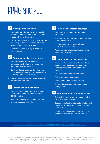## KPMG and you

#### ▼ Investigations services: <mark>▼</mark>

- Fact-finding investigations on all types of white collar-crime and misconduct: fraud, corruption or violation of laws and regulations
- − Identification of the perpetrators, quantification of the damages, allocation of responsibilities and assistance with recovering assets
- − Crisis management by taking immediate or emergency actions

### ◆ Corporate Intelligence services: ● ● **√**

- Essential for effective third-party risk management and mitigation of commercial, reputational and regulatory risks
- Quick and discrete background profile on your current or future counterparty – business partner, customer, debtor or future employee
- − Clear and consistent reporting of key risk issues and indication of risk factors

#### **Dispute Advisory services:**  ✔

- − Assessment and quantification of operational losses and damages, also suffered due to COVID-19 crisis
- Expertise in handling any kind of financial and accounting aspects of disputes

### **Forensic Technology services:**

- − Incident Response Services in the event of a cyber attack
- − Assistance with locating, securing and analyzing relevant or affected data
- e-Discovery to help you locate relevant documents and information
- − Assistance in the evaluation of datasets using forensic data analysis

### **Corporate Compliance services:**

- Development, assessment, reinforcement and support of your compliance program to fully uphold your corporate values and ethical standards
- Code of Conduct and policy development
- Risk assessment and monitoring
- − Implementation and operational support
- Ethics and Compliance training and change management

#### **Anti-Bribery & Corruption services:**  $\blacklozenge$

- Support in preventing, uncovering and handling cases of bribery and corruption
- − Development of solid and tailored anti-bribery and corruption compliance programs (e.g. following ISO 37001)
- − Review of the internal controls framework and anti-bribery and corruption risk assessment

<https://home.kpmg/nl/nl/home/services/advisory/risk-and-regulatory/forensic-services.html>